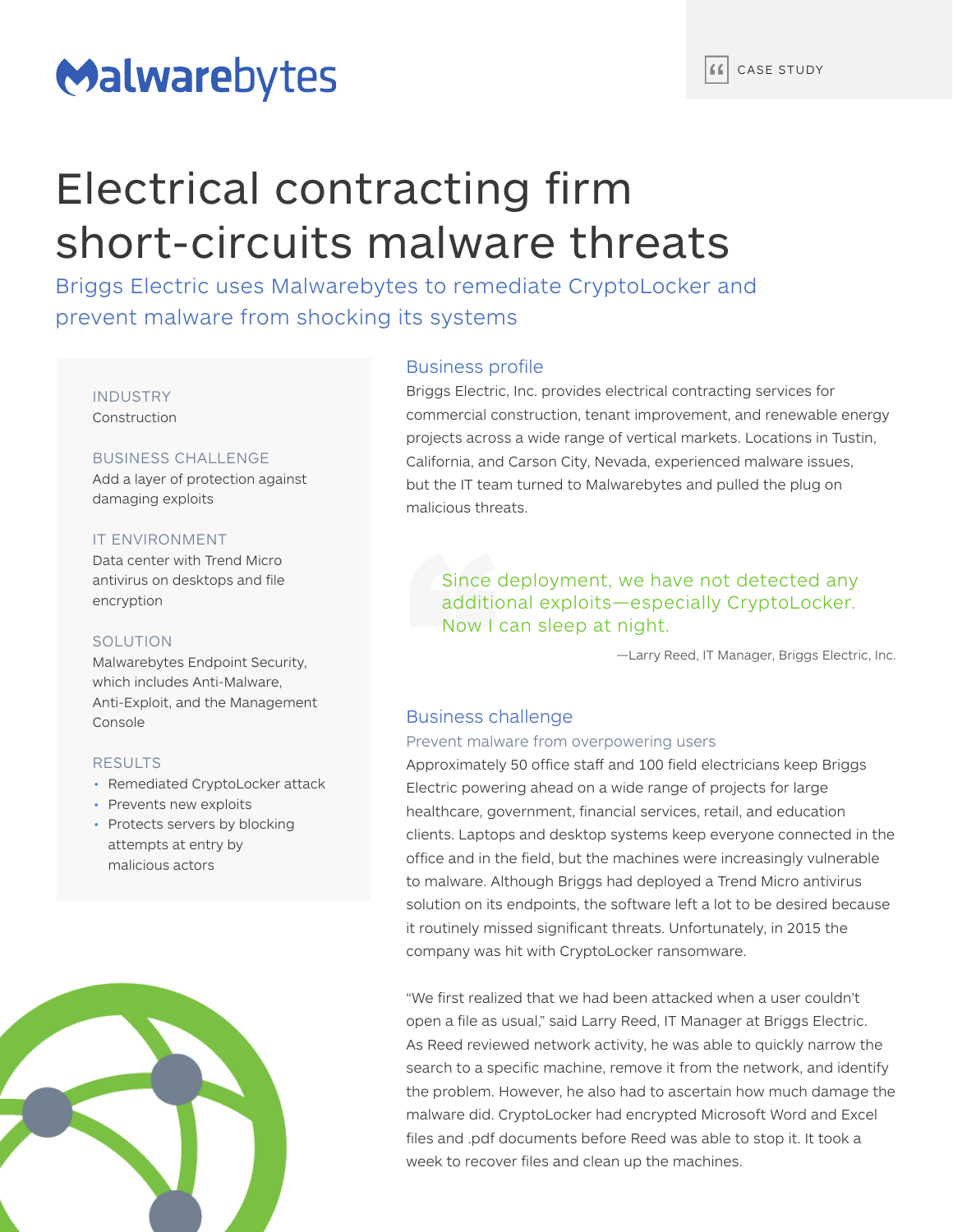# Malwarebytes

# Electrical contracting firm short-circuits malware threats

Briggs Electric uses Malwarebytes to remediate CryptoLocker and prevent malware from shocking its systems

INDUSTRY Construction

## BUSINESS CHALLENGE

Add a layer of protection against damaging exploits

### IT ENVIRONMENT

Data center with Trend Micro antivirus on desktops and file encryption

#### SOLUTION

Malwarebytes Endpoint Security, which includes Anti-Malware, Anti-Exploit, and the Management Console

#### RESULTS

- Remediated CryptoLocker attack
- Prevents new exploits
- Protects servers by blocking attempts at entry by malicious actors



### Business profile

Briggs Electric, Inc. provides electrical contracting services for commercial construction, tenant improvement, and renewable energy projects across a wide range of vertical markets. Locations in Tustin, California, and Carson City, Nevada, experienced malware issues, but the IT team turned to Malwarebytes and pulled the plug on malicious threats.

## Since deployment, we have not detected any additional exploits—especially CryptoLocker. Now I can sleep at night.

—Larry Reed, IT Manager, Briggs Electric, Inc.

## Business challenge

### Prevent malware from overpowering users

Approximately 50 office staff and 100 field electricians keep Briggs Electric powering ahead on a wide range of projects for large healthcare, government, financial services, retail, and education clients. Laptops and desktop systems keep everyone connected in the office and in the field, but the machines were increasingly vulnerable to malware. Although Briggs had deployed a Trend Micro antivirus solution on its endpoints, the software left a lot to be desired because it routinely missed significant threats. Unfortunately, in 2015 the company was hit with CryptoLocker ransomware.

"We first realized that we had been attacked when a user couldn't open a file as usual," said Larry Reed, IT Manager at Briggs Electric. As Reed reviewed network activity, he was able to quickly narrow the search to a specific machine, remove it from the network, and identify the problem. However, he also had to ascertain how much damage the malware did. CryptoLocker had encrypted Microsoft Word and Excel files and .pdf documents before Reed was able to stop it. It took a week to recover files and clean up the machines.